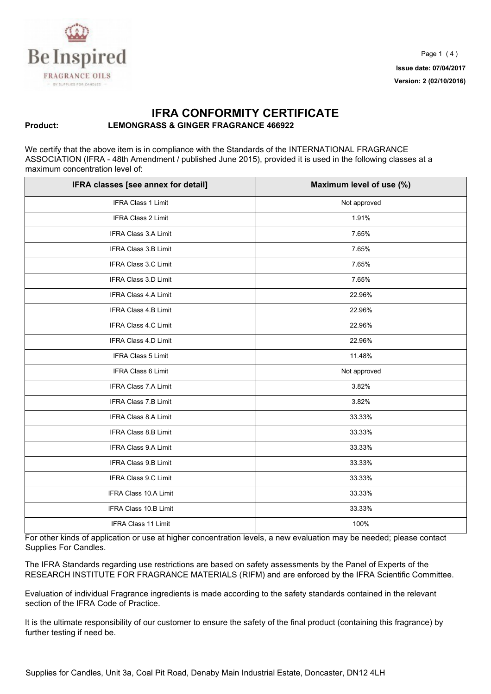

## **IFRA CONFORMITY CERTIFICATE Product: LEMONGRASS & GINGER FRAGRANCE 466922**

We certify that the above item is in compliance with the Standards of the INTERNATIONAL FRAGRANCE ASSOCIATION (IFRA - 48th Amendment / published June 2015), provided it is used in the following classes at a maximum concentration level of:

| IFRA classes [see annex for detail] | Maximum level of use (%) |
|-------------------------------------|--------------------------|
| IFRA Class 1 Limit                  | Not approved             |
| IFRA Class 2 Limit                  | 1.91%                    |
| IFRA Class 3.A Limit                | 7.65%                    |
| IFRA Class 3.B Limit                | 7.65%                    |
| IFRA Class 3.C Limit                | 7.65%                    |
| IFRA Class 3.D Limit                | 7.65%                    |
| IFRA Class 4.A Limit                | 22.96%                   |
| IFRA Class 4.B Limit                | 22.96%                   |
| IFRA Class 4.C Limit                | 22.96%                   |
| IFRA Class 4.D Limit                | 22.96%                   |
| IFRA Class 5 Limit                  | 11.48%                   |
| IFRA Class 6 Limit                  | Not approved             |
| <b>IFRA Class 7.A Limit</b>         | 3.82%                    |
| IFRA Class 7.B Limit                | 3.82%                    |
| IFRA Class 8.A Limit                | 33.33%                   |
| IFRA Class 8.B Limit                | 33.33%                   |
| IFRA Class 9.A Limit                | 33.33%                   |
| <b>IFRA Class 9.B Limit</b>         | 33.33%                   |
| IFRA Class 9.C Limit                | 33.33%                   |
| IFRA Class 10.A Limit               | 33.33%                   |
| IFRA Class 10.B Limit               | 33.33%                   |
| <b>IFRA Class 11 Limit</b>          | 100%                     |

For other kinds of application or use at higher concentration levels, a new evaluation may be needed; please contact Supplies For Candles.

The IFRA Standards regarding use restrictions are based on safety assessments by the Panel of Experts of the RESEARCH INSTITUTE FOR FRAGRANCE MATERIALS (RIFM) and are enforced by the IFRA Scientific Committee.

Evaluation of individual Fragrance ingredients is made according to the safety standards contained in the relevant section of the IFRA Code of Practice.

It is the ultimate responsibility of our customer to ensure the safety of the final product (containing this fragrance) by further testing if need be.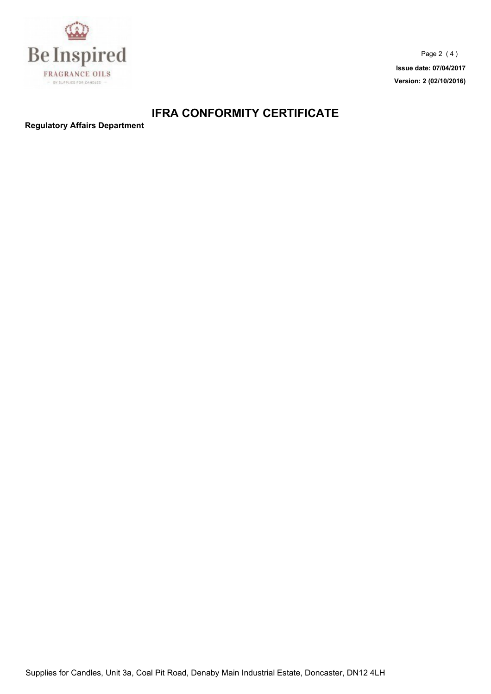

Page 2 ( 4 ) **Issue date: 07/04/2017 Version: 2 (02/10/2016)**

## **IFRA CONFORMITY CERTIFICATE**

**Regulatory Affairs Department**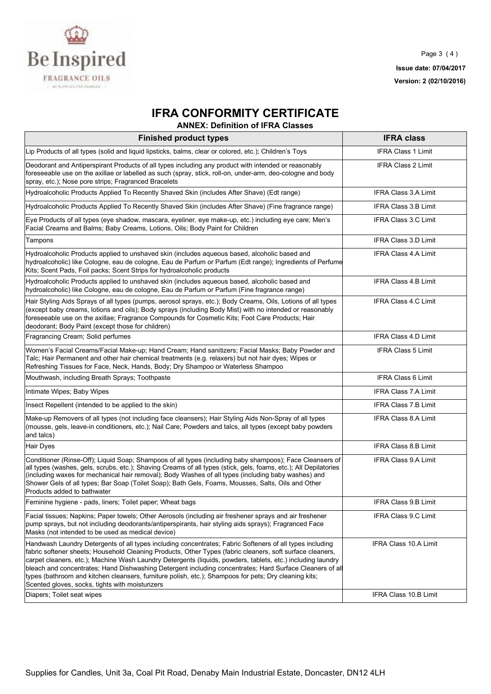

## **IFRA CONFORMITY CERTIFICATE**

**ANNEX: Definition of IFRA Classes** 

| <b>Finished product types</b>                                                                                                                                                                                                                                                                                                                                                                                                                                                                                                                                                                                | <b>IFRA class</b>            |
|--------------------------------------------------------------------------------------------------------------------------------------------------------------------------------------------------------------------------------------------------------------------------------------------------------------------------------------------------------------------------------------------------------------------------------------------------------------------------------------------------------------------------------------------------------------------------------------------------------------|------------------------------|
| Lip Products of all types (solid and liquid lipsticks, balms, clear or colored, etc.); Children's Toys                                                                                                                                                                                                                                                                                                                                                                                                                                                                                                       | <b>IFRA Class 1 Limit</b>    |
| Deodorant and Antiperspirant Products of all types including any product with intended or reasonably<br>foreseeable use on the axillae or labelled as such (spray, stick, roll-on, under-arm, deo-cologne and body<br>spray, etc.); Nose pore strips; Fragranced Bracelets                                                                                                                                                                                                                                                                                                                                   | <b>IFRA Class 2 Limit</b>    |
| Hydroalcoholic Products Applied To Recently Shaved Skin (includes After Shave) (Edt range)                                                                                                                                                                                                                                                                                                                                                                                                                                                                                                                   | IFRA Class 3.A Limit         |
| Hydroalcoholic Products Applied To Recently Shaved Skin (includes After Shave) (Fine fragrance range)                                                                                                                                                                                                                                                                                                                                                                                                                                                                                                        | IFRA Class 3.B Limit         |
| Eye Products of all types (eye shadow, mascara, eyeliner, eye make-up, etc.) including eye care; Men's<br>Facial Creams and Balms; Baby Creams, Lotions, Oils; Body Paint for Children                                                                                                                                                                                                                                                                                                                                                                                                                       | <b>IFRA Class 3.C Limit</b>  |
| Tampons                                                                                                                                                                                                                                                                                                                                                                                                                                                                                                                                                                                                      | IFRA Class 3.D Limit         |
| Hydroalcoholic Products applied to unshaved skin (includes aqueous based, alcoholic based and<br>hydroalcoholic) like Cologne, eau de cologne, Eau de Parfum or Parfum (Edt range); Ingredients of Perfume<br>Kits; Scent Pads, Foil packs; Scent Strips for hydroalcoholic products                                                                                                                                                                                                                                                                                                                         | <b>IFRA Class 4.A Limit</b>  |
| Hydroalcoholic Products applied to unshaved skin (includes aqueous based, alcoholic based and<br>hydroalcoholic) like Cologne, eau de cologne, Eau de Parfum or Parfum (Fine fragrance range)                                                                                                                                                                                                                                                                                                                                                                                                                | <b>IFRA Class 4.B Limit</b>  |
| Hair Styling Aids Sprays of all types (pumps, aerosol sprays, etc.); Body Creams, Oils, Lotions of all types<br>(except baby creams, lotions and oils); Body sprays (including Body Mist) with no intended or reasonably<br>foreseeable use on the axillae; Fragrance Compounds for Cosmetic Kits; Foot Care Products; Hair<br>deodorant; Body Paint (except those for children)                                                                                                                                                                                                                             | <b>IFRA Class 4.C Limit</b>  |
| Fragrancing Cream; Solid perfumes                                                                                                                                                                                                                                                                                                                                                                                                                                                                                                                                                                            | <b>IFRA Class 4.D Limit</b>  |
| Women's Facial Creams/Facial Make-up; Hand Cream; Hand sanitizers; Facial Masks; Baby Powder and<br>Talc; Hair Permanent and other hair chemical treatments (e.g. relaxers) but not hair dyes; Wipes or<br>Refreshing Tissues for Face, Neck, Hands, Body; Dry Shampoo or Waterless Shampoo                                                                                                                                                                                                                                                                                                                  | <b>IFRA Class 5 Limit</b>    |
| Mouthwash, including Breath Sprays; Toothpaste                                                                                                                                                                                                                                                                                                                                                                                                                                                                                                                                                               | <b>IFRA Class 6 Limit</b>    |
| Intimate Wipes; Baby Wipes                                                                                                                                                                                                                                                                                                                                                                                                                                                                                                                                                                                   | <b>IFRA Class 7.A Limit</b>  |
| Insect Repellent (intended to be applied to the skin)                                                                                                                                                                                                                                                                                                                                                                                                                                                                                                                                                        | <b>IFRA Class 7.B Limit</b>  |
| Make-up Removers of all types (not including face cleansers); Hair Styling Aids Non-Spray of all types<br>(mousse, gels, leave-in conditioners, etc.); Nail Care; Powders and talcs, all types (except baby powders<br>and talcs)                                                                                                                                                                                                                                                                                                                                                                            | <b>IFRA Class 8.A Limit</b>  |
| <b>Hair Dyes</b>                                                                                                                                                                                                                                                                                                                                                                                                                                                                                                                                                                                             | IFRA Class 8.B Limit         |
| Conditioner (Rinse-Off); Liquid Soap; Shampoos of all types (including baby shampoos); Face Cleansers of<br>all types (washes, gels, scrubs, etc.); Shaving Creams of all types (stick, gels, foams, etc.); All Depilatories<br>(including waxes for mechanical hair removal); Body Washes of all types (including baby washes) and<br>Shower Gels of all types; Bar Soap (Toilet Soap); Bath Gels, Foams, Mousses, Salts, Oils and Other<br>Products added to bathwater                                                                                                                                     | IFRA Class 9.A Limit         |
| Feminine hygiene - pads, liners; Toilet paper; Wheat bags                                                                                                                                                                                                                                                                                                                                                                                                                                                                                                                                                    | IFRA Class 9.B Limit         |
| Facial tissues; Napkins; Paper towels; Other Aerosols (including air freshener sprays and air freshener<br>pump sprays, but not including deodorants/antiperspirants, hair styling aids sprays); Fragranced Face<br>Masks (not intended to be used as medical device)                                                                                                                                                                                                                                                                                                                                        | IFRA Class 9.C Limit         |
| Handwash Laundry Detergents of all types including concentrates; Fabric Softeners of all types including<br>fabric softener sheets; Household Cleaning Products, Other Types (fabric cleaners, soft surface cleaners,<br>carpet cleaners, etc.); Machine Wash Laundry Detergents (liquids, powders, tablets, etc.) including laundry<br>bleach and concentrates; Hand Dishwashing Detergent including concentrates; Hard Surface Cleaners of all<br>types (bathroom and kitchen cleansers, furniture polish, etc.); Shampoos for pets; Dry cleaning kits;<br>Scented gloves, socks, tights with moisturizers | <b>IFRA Class 10.A Limit</b> |
| Diapers; Toilet seat wipes                                                                                                                                                                                                                                                                                                                                                                                                                                                                                                                                                                                   | IFRA Class 10.B Limit        |